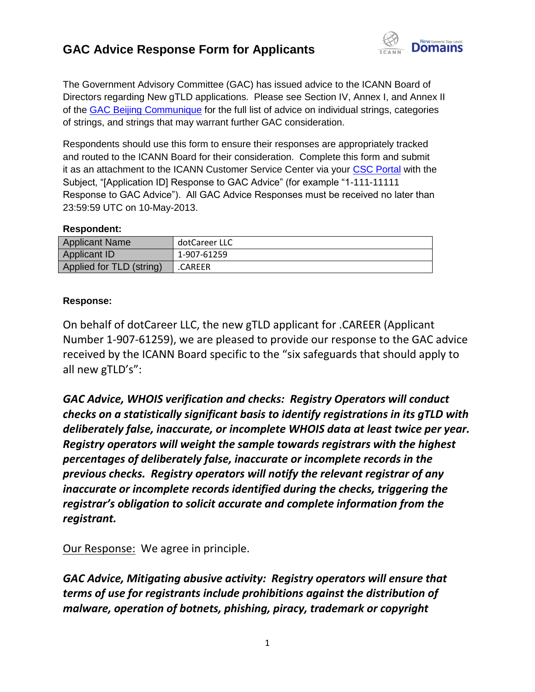# **GAC Advice Response Form for Applicants**



The Government Advisory Committee (GAC) has issued advice to the ICANN Board of Directors regarding New gTLD applications. Please see Section IV, Annex I, and Annex II of the [GAC Beijing Communique](http://www.icann.org/en/news/correspondence/gac-to-board-18apr13-en.pdf) for the full list of advice on individual strings, categories of strings, and strings that may warrant further GAC consideration.

Respondents should use this form to ensure their responses are appropriately tracked and routed to the ICANN Board for their consideration. Complete this form and submit it as an attachment to the ICANN Customer Service Center via your [CSC Portal](https://myicann.secure.force.com/) with the Subject, "[Application ID] Response to GAC Advice" (for example "1-111-11111 Response to GAC Advice"). All GAC Advice Responses must be received no later than 23:59:59 UTC on 10-May-2013.

#### **Respondent:**

| <b>Applicant Name</b>    | dotCareer LLC |
|--------------------------|---------------|
| <b>Applicant ID</b>      | 1-907-61259   |
| Applied for TLD (string) | .CAREER       |

### **Response:**

On behalf of dotCareer LLC, the new gTLD applicant for .CAREER (Applicant Number 1-907-61259), we are pleased to provide our response to the GAC advice received by the ICANN Board specific to the "six safeguards that should apply to all new gTLD's":

*GAC Advice, WHOIS verification and checks: Registry Operators will conduct checks on a statistically significant basis to identify registrations in its gTLD with deliberately false, inaccurate, or incomplete WHOIS data at least twice per year. Registry operators will weight the sample towards registrars with the highest percentages of deliberately false, inaccurate or incomplete records in the previous checks. Registry operators will notify the relevant registrar of any inaccurate or incomplete records identified during the checks, triggering the registrar's obligation to solicit accurate and complete information from the registrant.*

Our Response: We agree in principle.

*GAC Advice, Mitigating abusive activity: Registry operators will ensure that terms of use for registrants include prohibitions against the distribution of malware, operation of botnets, phishing, piracy, trademark or copyright*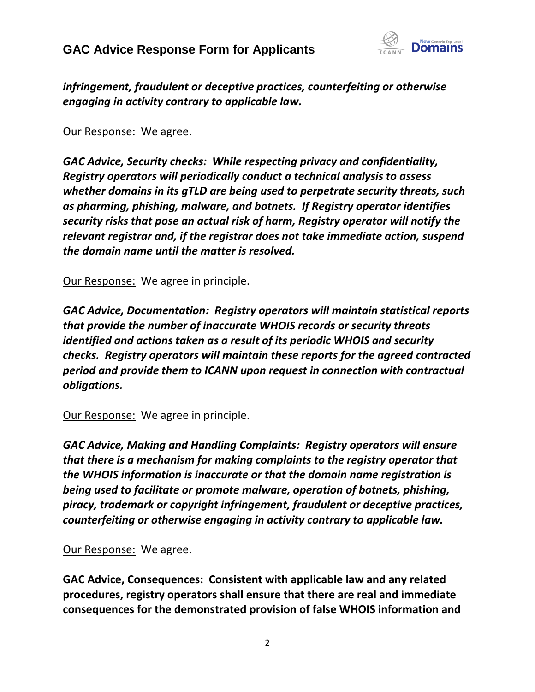## **GAC Advice Response Form for Applicants**



*infringement, fraudulent or deceptive practices, counterfeiting or otherwise engaging in activity contrary to applicable law.*

Our Response: We agree.

*GAC Advice, Security checks: While respecting privacy and confidentiality, Registry operators will periodically conduct a technical analysis to assess whether domains in its gTLD are being used to perpetrate security threats, such as pharming, phishing, malware, and botnets. If Registry operator identifies security risks that pose an actual risk of harm, Registry operator will notify the relevant registrar and, if the registrar does not take immediate action, suspend the domain name until the matter is resolved.*

Our Response: We agree in principle.

*GAC Advice, Documentation: Registry operators will maintain statistical reports that provide the number of inaccurate WHOIS records or security threats identified and actions taken as a result of its periodic WHOIS and security checks. Registry operators will maintain these reports for the agreed contracted period and provide them to ICANN upon request in connection with contractual obligations.*

Our Response: We agree in principle.

*GAC Advice, Making and Handling Complaints: Registry operators will ensure that there is a mechanism for making complaints to the registry operator that the WHOIS information is inaccurate or that the domain name registration is being used to facilitate or promote malware, operation of botnets, phishing, piracy, trademark or copyright infringement, fraudulent or deceptive practices, counterfeiting or otherwise engaging in activity contrary to applicable law.*

### Our Response: We agree.

**GAC Advice, Consequences: Consistent with applicable law and any related procedures, registry operators shall ensure that there are real and immediate consequences for the demonstrated provision of false WHOIS information and**